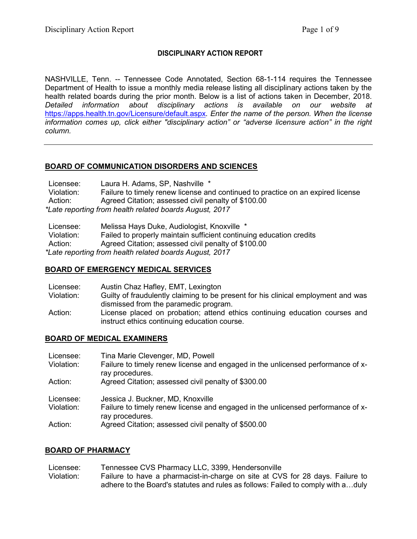## **DISCIPLINARY ACTION REPORT**

NASHVILLE, Tenn. -- Tennessee Code Annotated, Section 68-1-114 requires the Tennessee Department of Health to issue a monthly media release listing all disciplinary actions taken by the health related boards during the prior month. Below is a list of actions taken in December, 2018. *Detailed information about disciplinary actions is available on our website at*  <https://apps.health.tn.gov/Licensure/default.aspx>*. Enter the name of the person. When the license information comes up, click either "disciplinary action" or "adverse licensure action" in the right column.*

# **BOARD OF COMMUNICATION DISORDERS AND SCIENCES**

Licensee: Laura H. Adams, SP, Nashville \* Violation: Failure to timely renew license and continued to practice on an expired license Action: Agreed Citation; assessed civil penalty of \$100.00 *\*Late reporting from health related boards August, 2017*

Licensee: Melissa Hays Duke, Audiologist, Knoxville \* Violation: Failed to properly maintain sufficient continuing education credits Action: Agreed Citation; assessed civil penalty of \$100.00 *\*Late reporting from health related boards August, 2017*

### **BOARD OF EMERGENCY MEDICAL SERVICES**

| Licensee:  | Austin Chaz Hafley, EMT, Lexington                                                                                                                                   |
|------------|----------------------------------------------------------------------------------------------------------------------------------------------------------------------|
| Violation: | Guilty of fraudulently claiming to be present for his clinical employment and was                                                                                    |
| Action:    | dismissed from the paramedic program.<br>License placed on probation; attend ethics continuing education courses and<br>instruct ethics continuing education course. |

### **BOARD OF MEDICAL EXAMINERS**

| Licensee:  | Tina Marie Clevenger, MD, Powell                                                                   |
|------------|----------------------------------------------------------------------------------------------------|
| Violation: | Failure to timely renew license and engaged in the unlicensed performance of x-<br>ray procedures. |
| Action:    | Agreed Citation; assessed civil penalty of \$300.00                                                |
| Licensee:  | Jessica J. Buckner, MD, Knoxville                                                                  |
| Violation: | Failure to timely renew license and engaged in the unlicensed performance of x-<br>ray procedures. |
| Action:    | Agreed Citation; assessed civil penalty of \$500.00                                                |

### **BOARD OF PHARMACY**

Licensee: Tennessee CVS Pharmacy LLC, 3399, Hendersonville Violation: Failure to have a pharmacist-in-charge on site at CVS for 28 days. Failure to adhere to the Board's statutes and rules as follows: Failed to comply with a…duly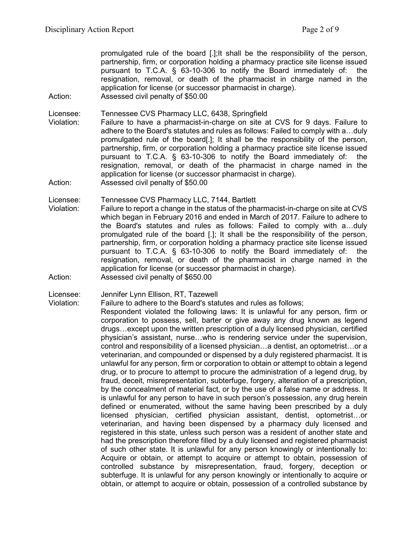promulgated rule of the board [.];It shall be the responsibility of the person, partnership, firm, or corporation holding a pharmacy practice site license issued pursuant to T.C.A. § 63-10-306 to notify the Board immediately of: the resignation, removal, or death of the pharmacist in charge named in the application for license (or successor pharmacist in charge).

Action: Assessed civil penalty of \$50.00

Licensee: Tennessee CVS Pharmacy LLC, 6438, Springfield

- Violation: Failure to have a pharmacist-in-charge on site at CVS for 9 days. Failure to adhere to the Board's statutes and rules as follows: Failed to comply with a…duly promulgated rule of the board[.]; It shall be the responsibility of the person, partnership, firm, or corporation holding a pharmacy practice site license issued pursuant to T.C.A. § 63-10-306 to notify the Board immediately of: the resignation, removal, or death of the pharmacist in charge named in the application for license (or successor pharmacist in charge).
- Action: Assessed civil penalty of \$50.00

Licensee: Tennessee CVS Pharmacy LLC, 7144, Bartlett

- Violation: Failure to report a change in the status of the pharmacist-in-charge on site at CVS which began in February 2016 and ended in March of 2017. Failure to adhere to the Board's statutes and rules as follows: Failed to comply with a…duly promulgated rule of the board [.]; It shall be the responsibility of the person, partnership, firm, or corporation holding a pharmacy practice site license issued pursuant to T.C.A. § 63-10-306 to notify the Board immediately of: the resignation, removal, or death of the pharmacist in charge named in the application for license (or successor pharmacist in charge).
- Action: Assessed civil penalty of \$650.00

Licensee: Jennifer Lynn Ellison, RT, Tazewell

Violation: Failure to adhere to the Board's statutes and rules as follows; Respondent violated the following laws: It is unlawful for any person, firm or corporation to possess, sell, barter or give away any drug known as legend drugs…except upon the written prescription of a duly licensed physician, certified physician's assistant, nurse…who is rendering service under the supervision, control and responsibility of a licensed physician…a dentist, an optometrist…or a veterinarian, and compounded or dispensed by a duly registered pharmacist. It is unlawful for any person, firm or corporation to obtain or attempt to obtain a legend drug, or to procure to attempt to procure the administration of a legend drug, by fraud, deceit, misrepresentation, subterfuge, forgery, alteration of a prescription, by the concealment of material fact, or by the use of a false name or address. It is unlawful for any person to have in such person's possession, any drug herein defined or enumerated, without the same having been prescribed by a duly licensed physician, certified physician assistant, dentist, optometrist…or veterinarian, and having been dispensed by a pharmacy duly licensed and registered in this state, unless such person was a resident of another state and had the prescription therefore filled by a duly licensed and registered pharmacist of such other state. It is unlawful for any person knowingly or intentionally to: Acquire or obtain, or attempt to acquire or attempt to obtain, possession of controlled substance by misrepresentation, fraud, forgery, deception or subterfuge. It is unlawful for any person knowingly or intentionally to acquire or obtain, or attempt to acquire or obtain, possession of a controlled substance by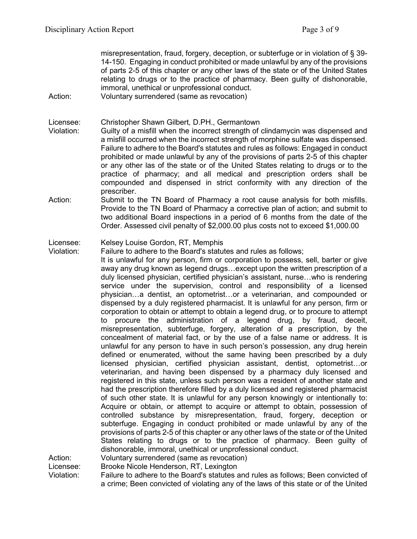misrepresentation, fraud, forgery, deception, or subterfuge or in violation of § 39- 14-150. Engaging in conduct prohibited or made unlawful by any of the provisions of parts 2-5 of this chapter or any other laws of the state or of the United States relating to drugs or to the practice of pharmacy. Been guilty of dishonorable, immoral, unethical or unprofessional conduct.

Action: Voluntary surrendered (same as revocation)

Licensee: Christopher Shawn Gilbert, D.PH., Germantown

- Violation: Guilty of a misfill when the incorrect strength of clindamycin was dispensed and a misfill occurred when the incorrect strength of morphine sulfate was dispensed. Failure to adhere to the Board's statutes and rules as follows: Engaged in conduct prohibited or made unlawful by any of the provisions of parts 2-5 of this chapter or any other las of the state or of the United States relating to drugs or to the practice of pharmacy; and all medical and prescription orders shall be compounded and dispensed in strict conformity with any direction of the prescriber.
- Action: Submit to the TN Board of Pharmacy a root cause analysis for both misfills. Provide to the TN Board of Pharmacy a corrective plan of action; and submit to two additional Board inspections in a period of 6 months from the date of the Order. Assessed civil penalty of \$2,000.00 plus costs not to exceed \$1,000.00

Licensee: Kelsey Louise Gordon, RT, Memphis

Violation: Failure to adhere to the Board's statutes and rules as follows;

It is unlawful for any person, firm or corporation to possess, sell, barter or give away any drug known as legend drugs…except upon the written prescription of a duly licensed physician, certified physician's assistant, nurse…who is rendering service under the supervision, control and responsibility of a licensed physician…a dentist, an optometrist…or a veterinarian, and compounded or dispensed by a duly registered pharmacist. It is unlawful for any person, firm or corporation to obtain or attempt to obtain a legend drug, or to procure to attempt to procure the administration of a legend drug, by fraud, deceit, misrepresentation, subterfuge, forgery, alteration of a prescription, by the concealment of material fact, or by the use of a false name or address. It is unlawful for any person to have in such person's possession, any drug herein defined or enumerated, without the same having been prescribed by a duly licensed physician, certified physician assistant, dentist, optometrist…or veterinarian, and having been dispensed by a pharmacy duly licensed and registered in this state, unless such person was a resident of another state and had the prescription therefore filled by a duly licensed and registered pharmacist of such other state. It is unlawful for any person knowingly or intentionally to: Acquire or obtain, or attempt to acquire or attempt to obtain, possession of controlled substance by misrepresentation, fraud, forgery, deception or subterfuge. Engaging in conduct prohibited or made unlawful by any of the provisions of parts 2-5 of this chapter or any other laws of the state or of the United States relating to drugs or to the practice of pharmacy. Been guilty of dishonorable, immoral, unethical or unprofessional conduct. Action: Voluntary surrendered (same as revocation)

Licensee: Brooke Nicole Henderson, RT, Lexington

Violation: Failure to adhere to the Board's statutes and rules as follows; Been convicted of a crime; Been convicted of violating any of the laws of this state or of the United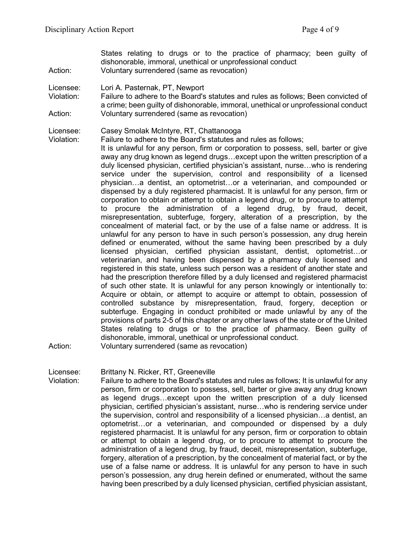States relating to drugs or to the practice of pharmacy; been guilty of dishonorable, immoral, unethical or unprofessional conduct Action: Voluntary surrendered (same as revocation)

- Licensee: Lori A. Pasternak, PT, Newport
- Violation: Failure to adhere to the Board's statutes and rules as follows; Been convicted of a crime; been guilty of dishonorable, immoral, unethical or unprofessional conduct Action: Voluntary surrendered (same as revocation)
- Licensee: Casey Smolak McIntyre, RT, Chattanooga

Failure to adhere to the Board's statutes and rules as follows;

It is unlawful for any person, firm or corporation to possess, sell, barter or give away any drug known as legend drugs…except upon the written prescription of a duly licensed physician, certified physician's assistant, nurse…who is rendering service under the supervision, control and responsibility of a licensed physician…a dentist, an optometrist…or a veterinarian, and compounded or dispensed by a duly registered pharmacist. It is unlawful for any person, firm or corporation to obtain or attempt to obtain a legend drug, or to procure to attempt to procure the administration of a legend drug, by fraud, deceit, misrepresentation, subterfuge, forgery, alteration of a prescription, by the concealment of material fact, or by the use of a false name or address. It is unlawful for any person to have in such person's possession, any drug herein defined or enumerated, without the same having been prescribed by a duly licensed physician, certified physician assistant, dentist, optometrist…or veterinarian, and having been dispensed by a pharmacy duly licensed and registered in this state, unless such person was a resident of another state and had the prescription therefore filled by a duly licensed and registered pharmacist of such other state. It is unlawful for any person knowingly or intentionally to: Acquire or obtain, or attempt to acquire or attempt to obtain, possession of controlled substance by misrepresentation, fraud, forgery, deception or subterfuge. Engaging in conduct prohibited or made unlawful by any of the provisions of parts 2-5 of this chapter or any other laws of the state or of the United States relating to drugs or to the practice of pharmacy. Been guilty of dishonorable, immoral, unethical or unprofessional conduct.

Action: Voluntary surrendered (same as revocation)

Licensee: Brittany N. Ricker, RT, Greeneville

Violation: Failure to adhere to the Board's statutes and rules as follows; It is unlawful for any person, firm or corporation to possess, sell, barter or give away any drug known as legend drugs…except upon the written prescription of a duly licensed physician, certified physician's assistant, nurse…who is rendering service under the supervision, control and responsibility of a licensed physician…a dentist, an optometrist…or a veterinarian, and compounded or dispensed by a duly registered pharmacist. It is unlawful for any person, firm or corporation to obtain or attempt to obtain a legend drug, or to procure to attempt to procure the administration of a legend drug, by fraud, deceit, misrepresentation, subterfuge, forgery, alteration of a prescription, by the concealment of material fact, or by the use of a false name or address. It is unlawful for any person to have in such person's possession, any drug herein defined or enumerated, without the same having been prescribed by a duly licensed physician, certified physician assistant,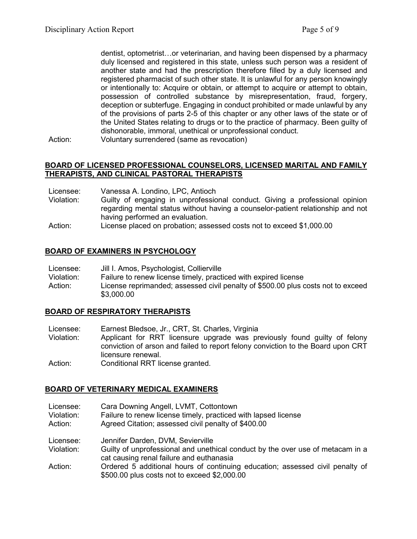dentist, optometrist…or veterinarian, and having been dispensed by a pharmacy duly licensed and registered in this state, unless such person was a resident of another state and had the prescription therefore filled by a duly licensed and registered pharmacist of such other state. It is unlawful for any person knowingly or intentionally to: Acquire or obtain, or attempt to acquire or attempt to obtain, possession of controlled substance by misrepresentation, fraud, forgery, deception or subterfuge. Engaging in conduct prohibited or made unlawful by any of the provisions of parts 2-5 of this chapter or any other laws of the state or of the United States relating to drugs or to the practice of pharmacy. Been guilty of dishonorable, immoral, unethical or unprofessional conduct.

Action: Voluntary surrendered (same as revocation)

### **BOARD OF LICENSED PROFESSIONAL COUNSELORS, LICENSED MARITAL AND FAMILY THERAPISTS, AND CLINICAL PASTORAL THERAPISTS**

- Licensee: Vanessa A. Londino, LPC, Antioch<br>Violation: Guilty of engaging in unprofessio
- Guilty of engaging in unprofessional conduct. Giving a professional opinion regarding mental status without having a counselor-patient relationship and not having performed an evaluation.
- Action: License placed on probation; assessed costs not to exceed \$1,000.00

#### **BOARD OF EXAMINERS IN PSYCHOLOGY**

| Licensee:<br>Jill I. Amos, Psychologist, Collierville |  |
|-------------------------------------------------------|--|
|-------------------------------------------------------|--|

- Violation: Failure to renew license timely, practiced with expired license
- Action: License reprimanded; assessed civil penalty of \$500.00 plus costs not to exceed \$3,000.00

### **BOARD OF RESPIRATORY THERAPISTS**

- Licensee: Earnest Bledsoe, Jr., CRT, St. Charles, Virginia
- Violation: Applicant for RRT licensure upgrade was previously found guilty of felony conviction of arson and failed to report felony conviction to the Board upon CRT licensure renewal.
- Action: Conditional RRT license granted.

### **BOARD OF VETERINARY MEDICAL EXAMINERS**

- Licensee: Cara Downing Angell, LVMT, Cottontown
- Violation: Failure to renew license timely, practiced with lapsed license
- Action: Agreed Citation; assessed civil penalty of \$400.00
- Licensee: Jennifer Darden, DVM, Sevierville
- Violation: Guilty of unprofessional and unethical conduct by the over use of metacam in a cat causing renal failure and euthanasia
- Action: Ordered 5 additional hours of continuing education; assessed civil penalty of \$500.00 plus costs not to exceed \$2,000.00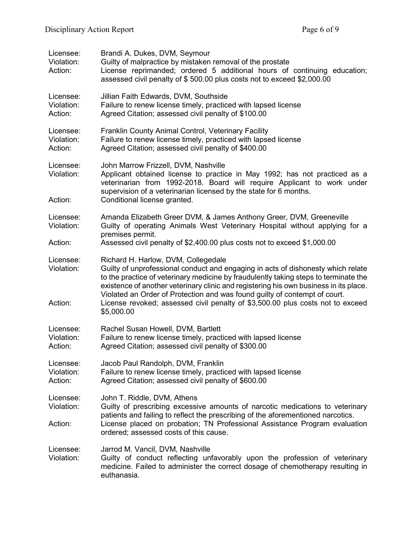| Licensee:<br>Violation:<br>Action: | Brandi A. Dukes, DVM, Seymour<br>Guilty of malpractice by mistaken removal of the prostate<br>License reprimanded; ordered 5 additional hours of continuing education;<br>assessed civil penalty of \$500.00 plus costs not to exceed \$2,000.00                                                                                                                                                                                                                                       |
|------------------------------------|----------------------------------------------------------------------------------------------------------------------------------------------------------------------------------------------------------------------------------------------------------------------------------------------------------------------------------------------------------------------------------------------------------------------------------------------------------------------------------------|
| Licensee:<br>Violation:<br>Action: | Jillian Faith Edwards, DVM, Southside<br>Failure to renew license timely, practiced with lapsed license<br>Agreed Citation; assessed civil penalty of \$100.00                                                                                                                                                                                                                                                                                                                         |
| Licensee:<br>Violation:<br>Action: | Franklin County Animal Control, Veterinary Facility<br>Failure to renew license timely, practiced with lapsed license<br>Agreed Citation; assessed civil penalty of \$400.00                                                                                                                                                                                                                                                                                                           |
| Licensee:<br>Violation:<br>Action: | John Marrow Frizzell, DVM, Nashville<br>Applicant obtained license to practice in May 1992; has not practiced as a<br>veterinarian from 1992-2018. Board will require Applicant to work under<br>supervision of a veterinarian licensed by the state for 6 months.<br>Conditional license granted.                                                                                                                                                                                     |
| Licensee:<br>Violation:            | Amanda Elizabeth Greer DVM, & James Anthony Greer, DVM, Greeneville<br>Guilty of operating Animals West Veterinary Hospital without applying for a<br>premises permit.                                                                                                                                                                                                                                                                                                                 |
| Action:                            | Assessed civil penalty of \$2,400.00 plus costs not to exceed \$1,000.00                                                                                                                                                                                                                                                                                                                                                                                                               |
| Licensee:<br>Violation:<br>Action: | Richard H. Harlow, DVM, Collegedale<br>Guilty of unprofessional conduct and engaging in acts of dishonesty which relate<br>to the practice of veterinary medicine by fraudulently taking steps to terminate the<br>existence of another veterinary clinic and registering his own business in its place.<br>Violated an Order of Protection and was found guilty of contempt of court.<br>License revoked; assessed civil penalty of \$3,500.00 plus costs not to exceed<br>\$5,000.00 |
| Licensee:<br>Violation:<br>Action: | Rachel Susan Howell, DVM, Bartlett<br>Failure to renew license timely, practiced with lapsed license<br>Agreed Citation; assessed civil penalty of \$300.00                                                                                                                                                                                                                                                                                                                            |
| Licensee:<br>Violation:<br>Action: | Jacob Paul Randolph, DVM, Franklin<br>Failure to renew license timely, practiced with lapsed license<br>Agreed Citation; assessed civil penalty of \$600.00                                                                                                                                                                                                                                                                                                                            |
| Licensee:<br>Violation:            | John T. Riddle, DVM, Athens<br>Guilty of prescribing excessive amounts of narcotic medications to veterinary<br>patients and failing to reflect the prescribing of the aforementioned narcotics.                                                                                                                                                                                                                                                                                       |
| Action:                            | License placed on probation; TN Professional Assistance Program evaluation<br>ordered; assessed costs of this cause.                                                                                                                                                                                                                                                                                                                                                                   |
| Licensee:<br>Violation:            | Jarrod M. Vancil, DVM, Nashville<br>Guilty of conduct reflecting unfavorably upon the profession of veterinary<br>medicine. Failed to administer the correct dosage of chemotherapy resulting in<br>euthanasia.                                                                                                                                                                                                                                                                        |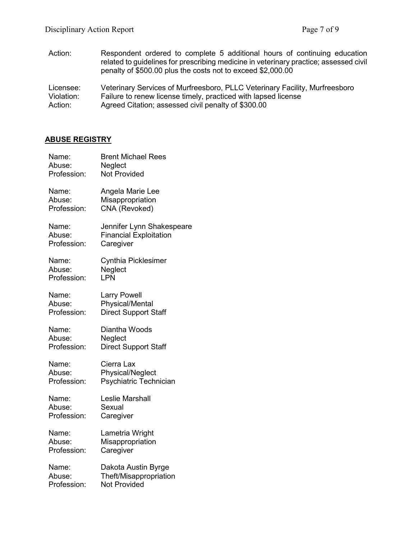Action: Respondent ordered to complete 5 additional hours of continuing education related to guidelines for prescribing medicine in veterinary practice; assessed civil penalty of \$500.00 plus the costs not to exceed \$2,000.00

Licensee: Veterinary Services of Murfreesboro, PLLC Veterinary Facility, Murfreesboro<br>Violation: Failure to renew license timely, practiced with lapsed license Violation: Failure to renew license timely, practiced with lapsed license<br>Action: Agreed Citation; assessed civil penalty of \$300.00 Agreed Citation; assessed civil penalty of \$300.00

### **ABUSE REGISTRY**

| Name:       | <b>Brent Michael Rees</b>     |
|-------------|-------------------------------|
| Abuse:      | Neglect                       |
| Profession: | <b>Not Provided</b>           |
| Name:       | Angela Marie Lee              |
| Abuse:      | Misappropriation              |
| Profession: | CNA (Revoked)                 |
| Name:       | Jennifer Lynn Shakespeare     |
| Abuse:      | <b>Financial Exploitation</b> |
| Profession: | Caregiver                     |
| Name:       | <b>Cynthia Picklesimer</b>    |
| Abuse:      | Neglect                       |
| Profession: | LPN                           |
| Name:       | <b>Larry Powell</b>           |
| Abuse:      | <b>Physical/Mental</b>        |
| Profession: | <b>Direct Support Staff</b>   |
| Name:       | Diantha Woods                 |
| Abuse:      | Neglect                       |
| Profession: | <b>Direct Support Staff</b>   |
| Name:       | Cierra Lax                    |
| Abuse:      | Physical/Neglect              |
| Profession: | Psychiatric Technician        |
| Name:       | Leslie Marshall               |
| Abuse:      | Sexual                        |
| Profession: | Caregiver                     |
| Name:       | Lametria Wright               |
| Abuse:      | Misappropriation              |
| Profession: | Caregiver                     |
| Name:       | Dakota Austin Byrge           |
| Abuse:      | Theft/Misappropriation        |
| Profession: | <b>Not Provided</b>           |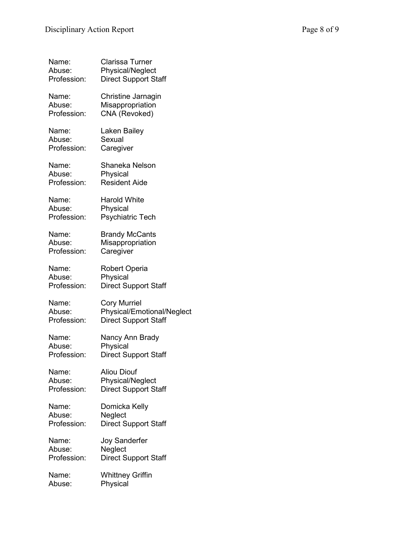| Name:       | <b>Clarissa Turner</b>      |
|-------------|-----------------------------|
| Abuse:      | Physical/Neglect            |
| Profession: | <b>Direct Support Staff</b> |
| Name:       | Christine Jarnagin          |
| Abuse:      | Misappropriation            |
| Profession: | CNA (Revoked)               |
| Name:       | Laken Bailey                |
| Abuse:      | Sexual                      |
| Profession: | Caregiver                   |
| Name:       | Shaneka Nelson              |
| Abuse:      | Physical                    |
| Profession: | <b>Resident Aide</b>        |
| Name:       | <b>Harold White</b>         |
| Abuse:      | Physical                    |
| Profession: | <b>Psychiatric Tech</b>     |
| Name:       | <b>Brandy McCants</b>       |
| Abuse:      | Misappropriation            |
| Profession: | Caregiver                   |
| Name:       | <b>Robert Operia</b>        |
| Abuse:      | Physical                    |
| Profession: | <b>Direct Support Staff</b> |
| Name:       | <b>Cory Murriel</b>         |
| Abuse:      | Physical/Emotional/Neglect  |
| Profession: | <b>Direct Support Staff</b> |
| Name:       | Nancy Ann Brady             |
| Abuse:      | Physical                    |
| Profession: | <b>Direct Support Staff</b> |
| Name:       | <b>Aliou Diouf</b>          |
| Abuse:      | Physical/Neglect            |
| Profession: | <b>Direct Support Staff</b> |
| Name:       | Domicka Kelly               |
| Abuse:      | Neglect                     |
| Profession: | <b>Direct Support Staff</b> |
| Name:       | <b>Joy Sanderfer</b>        |
| Abuse:      | Neglect                     |
| Profession: | <b>Direct Support Staff</b> |
| Name:       | <b>Whittney Griffin</b>     |
| Abuse:      | Physical                    |